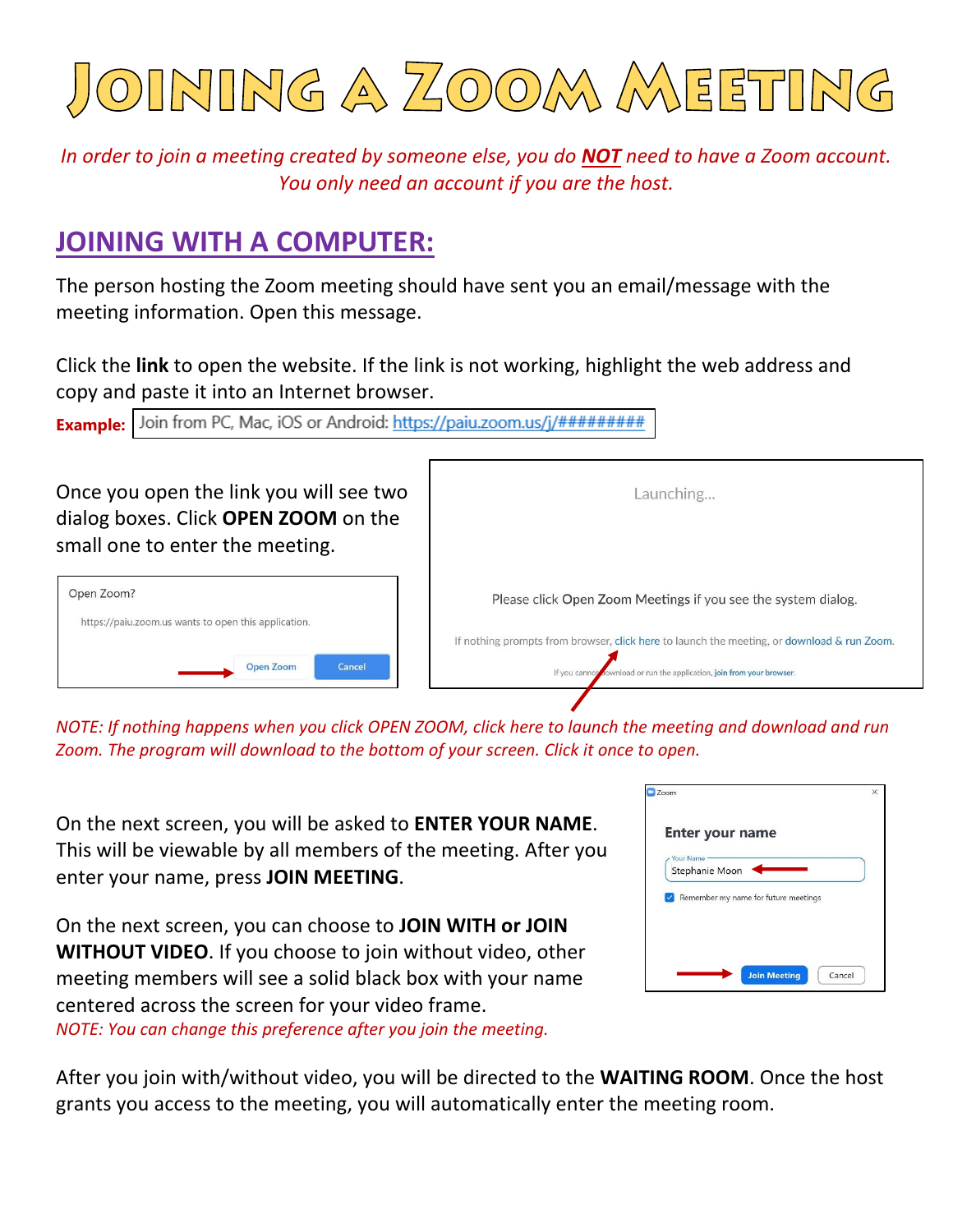

*In order to join a meeting created by someone else, you do NOT need to have a Zoom account. You only need an account if you are the host.*

## **JOINING WITH A COMPUTER:**

The person hosting the Zoom meeting should have sent you an email/message with the meeting information. Open this message.

Click the **link** to open the website. If the link is not working, highlight the web address and copy and paste it into an Internet browser.

| Once you open the link you will see two<br>dialog boxes. Click OPEN ZOOM on the<br>small one to enter the meeting. | Launching                                                                                                                                                            |  |
|--------------------------------------------------------------------------------------------------------------------|----------------------------------------------------------------------------------------------------------------------------------------------------------------------|--|
| Open Zoom?<br>https://paiu.zoom.us wants to open this application.                                                 | Please click Open Zoom Meetings if you see the system dialog.                                                                                                        |  |
| Cancel<br><b>Open Zoom</b>                                                                                         | If nothing prompts from browser, click here to launch the meeting, or download & run Zoom.<br>If you cannot cownload or run the application, join from your browser. |  |

*NOTE: If nothing happens when you click OPEN ZOOM, click here to launch the meeting and download and run Zoom. The program will download to the bottom of your screen. Click it once to open.* 

On the next screen, you will be asked to **ENTER YOUR NAME**. This will be viewable by all members of the meeting. After you enter your name, press **JOIN MEETING**.

On the next screen, you can choose to **JOIN WITH or JOIN WITHOUT VIDEO**. If you choose to join without video, other meeting members will see a solid black box with your name centered across the screen for your video frame. *NOTE: You can change this preference after you join the meeting.*

|                  |                | <b>Enter your name</b>               |  |
|------------------|----------------|--------------------------------------|--|
| <b>Your Name</b> | Stephanie Moon |                                      |  |
|                  |                | Remember my name for future meetings |  |
|                  |                |                                      |  |
|                  |                |                                      |  |

After you join with/without video, you will be directed to the **WAITING ROOM**. Once the host grants you access to the meeting, you will automatically enter the meeting room.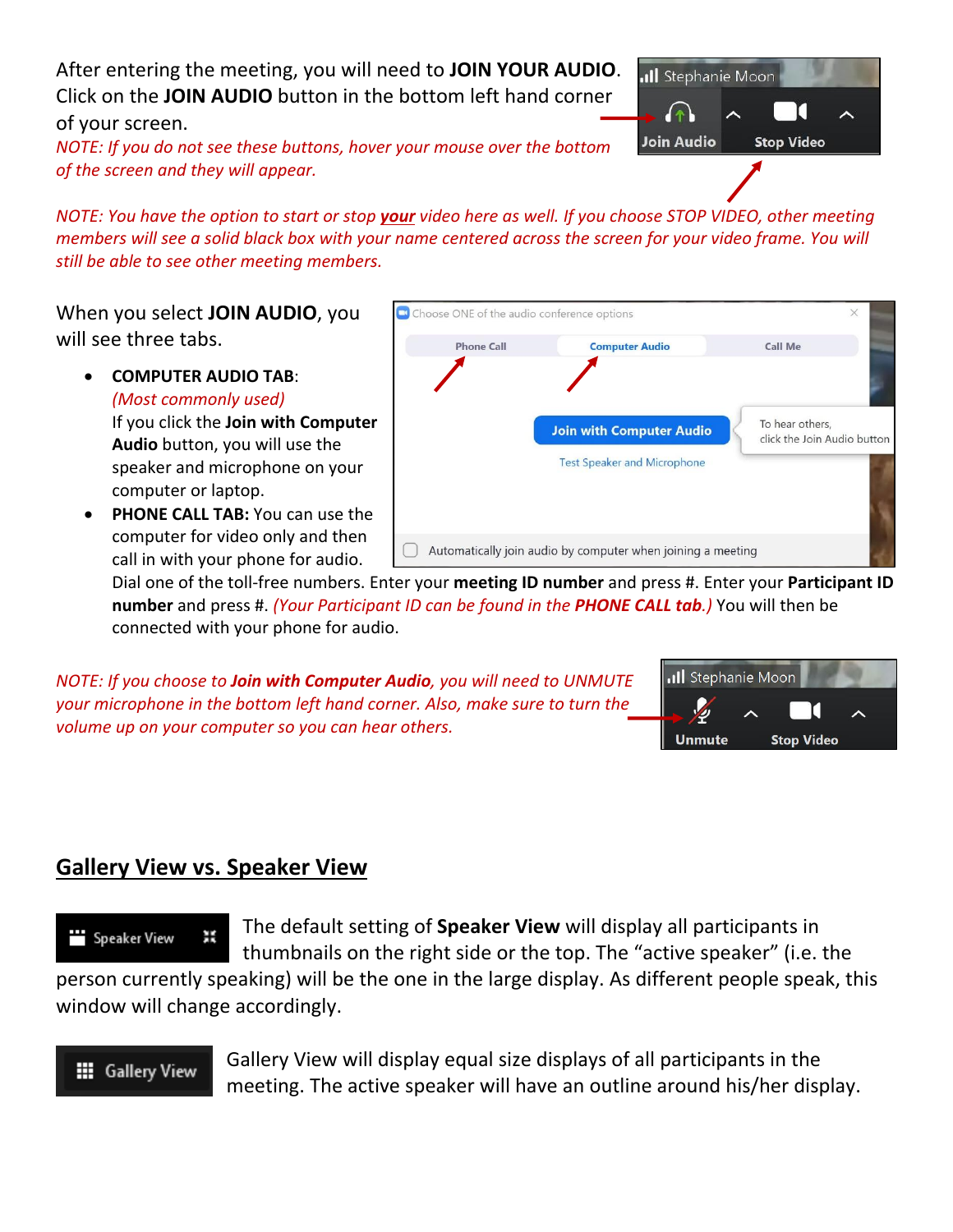After entering the meeting, you will need to **JOIN YOUR AUDIO**. Click on the **JOIN AUDIO** button in the bottom left hand corner of your screen.

*NOTE: If you do not see these buttons, hover your mouse over the bottom of the screen and they will appear.*

*NOTE: You have the option to start or stop your video here as well. If you choose STOP VIDEO, other meeting members will see a solid black box with your name centered across the screen for your video frame. You will still be able to see other meeting members.*

When you select **JOIN AUDIO**, you will see three tabs.

> • **COMPUTER AUDIO TAB**: *(Most commonly used)*

If you click the **Join with Computer Audio** button, you will use the speaker and microphone on your computer or laptop.

• **PHONE CALL TAB:** You can use the computer for video only and then call in with your phone for audio.



Dial one of the toll-free numbers. Enter your **meeting ID number** and press #. Enter your **Participant ID number** and press #. *(Your Participant ID can be found in the PHONE CALL tab.)* You will then be connected with your phone for audio.

*NOTE: If you choose to Join with Computer Audio, you will need to UNMUTE your microphone in the bottom left hand corner. Also, make sure to turn the volume up on your computer so you can hear others.*



### **Gallery View vs. Speaker View**

The default setting of **Speaker View** will display all participants in Ж Speaker View thumbnails on the right side or the top. The "active speaker" (i.e. the

person currently speaking) will be the one in the large display. As different people speak, this window will change accordingly.

#### **III** Gallery View

Gallery View will display equal size displays of all participants in the meeting. The active speaker will have an outline around his/her display.

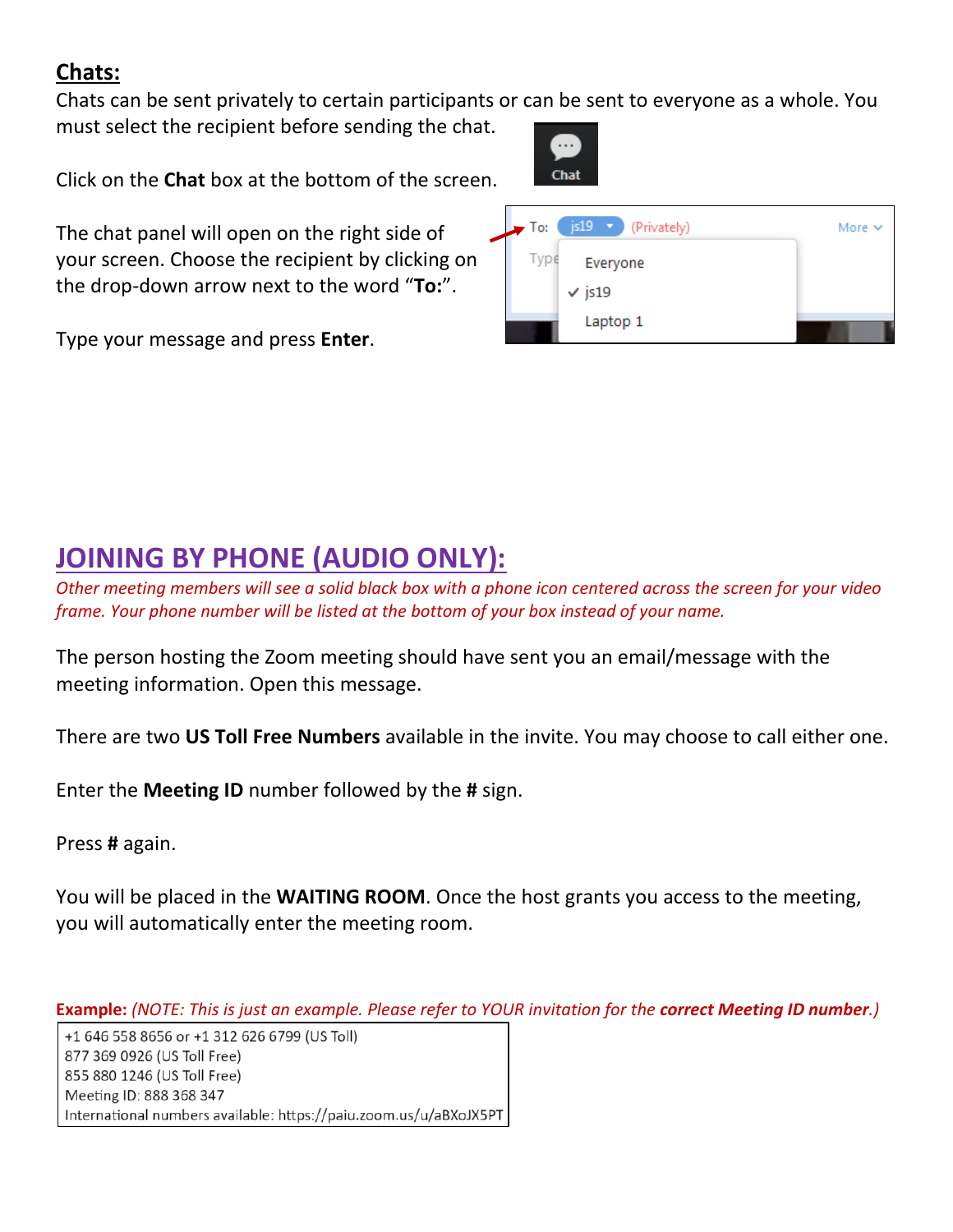## **Chats:**

Chats can be sent privately to certain participants or can be sent to everyone as a whole. You must select the recipient before sending the chat.

**Chat** 

Click on the **Chat** box at the bottom of the screen.

The chat panel will open on the right side of your screen. Choose the recipient by clicking on the drop-down arrow next to the word "**To:**".

Type your message and press **Enter**.



# **JOINING BY PHONE (AUDIO ONLY):**

*Other meeting members will see a solid black box with a phone icon centered across the screen for your video frame. Your phone number will be listed at the bottom of your box instead of your name.*

The person hosting the Zoom meeting should have sent you an email/message with the meeting information. Open this message.

There are two **US Toll Free Numbers** available in the invite. You may choose to call either one.

Enter the **Meeting ID** number followed by the **#** sign.

Press **#** again.

You will be placed in the **WAITING ROOM**. Once the host grants you access to the meeting, you will automatically enter the meeting room.

**Example:** *(NOTE: This is just an example. Please refer to YOUR invitation for the correct Meeting ID number.)*

+1 646 558 8656 or +1 312 626 6799 (US Toll) 877 369 0926 (US Toll Free) 855 880 1246 (US Toll Free) Meeting ID: 888 368 347 International numbers available: https://paiu.zoom.us/u/aBXoJX5PT